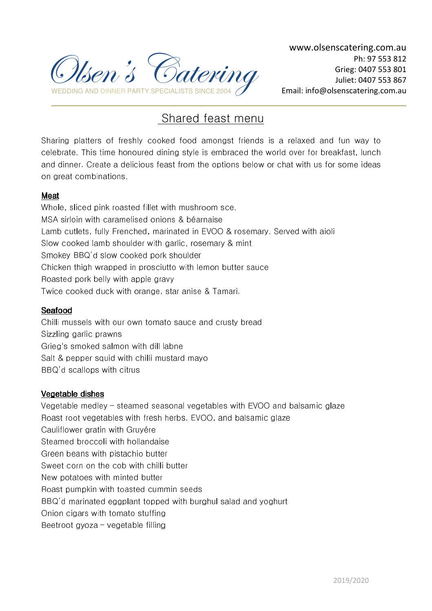

# Shared feast menu

Sharing platters of freshly cooked food amongst friends is a relaxed and fun way to celebrate. This time honoured dining style is embraced the world over for breakfast, lunch and dinner. Create a delicious feast from the options below or chat with us for some ideas on great combinations.

## Meat

Whole, sliced pink roasted fillet with mushroom sce. MSA sirloin with caramelised onions & béarnaise Lamb cutlets, fully Frenched, marinated in EVOO & rosemary. Served with aioli Slow cooked lamb shoulder with garlic, rosemary & mint Smokey BBQ'd slow cooked pork shoulder Chicken thigh wrapped in prosciutto with lemon butter sauce Roasted pork belly with apple gravy Twice cooked duck with orange, star anise & Tamari.

## Seafood

Chilli mussels with our own tomato sauce and crusty bread Sizzling garlic prawns Grieg's smoked salmon with dill labne Salt & pepper squid with chilli mustard mayo BBQ'd scallops with citrus

#### Vegetable dishes

Vegetable medley – steamed seasonal vegetables with EVOO and balsamic glaze Roast root vegetables with fresh herbs, EVOO, and balsamic glaze Cauliflower gratin with Gruyére Steamed broccoli with hollandaise Green beans with pistachio butter Sweet corn on the cob with chilli butter New potatoes with minted butter Roast pumpkin with toasted cummin seeds BBQ'd marinated eggplant topped with burghul salad and yoghurt Onion cigars with tomato stuffing Beetroot gyoza – vegetable filling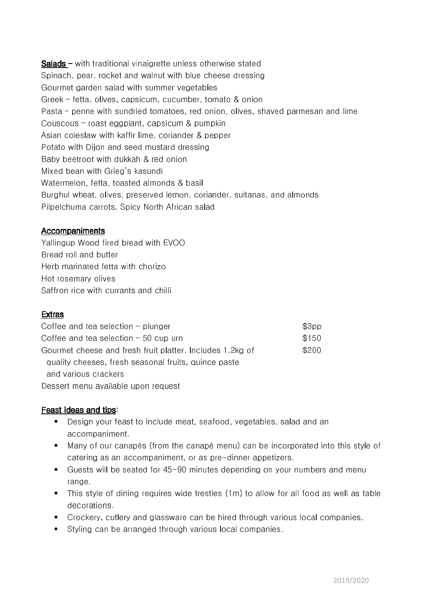Salads– with traditional vinaigrette unless otherwise stated Spinach, pear, rocket and walnut with blue cheese dressing Gourmet garden salad with summer vegetables Greek – fetta, olives, capsicum, cucumber, tomato & onion Pasta – penne with sundried tomatoes, red onion, olives, shaved parmesan and lime Couscous – roast eggplant, capsicum & pumpkin Asian coleslaw with kaffir lime, coriander & pepper Potato with Dijon and seed mustard dressing Baby beetroot with dukkah & red onion Mixed bean with Grieg's kasundi Watermelon, fetta, toasted almonds & basil Burghul wheat, olives, preserved lemon, coriander, sultanas, and almonds Pilpelchuma carrots. Spicy North African salad

#### Accompaniments

Yallingup Wood fired bread with EVOO Bread roll and butter Herb marinated fetta with chorizo Hot rosemary olives Saffron rice with currants and chilli

#### Extras

| Coffee and tea selection $-$ plunger                      | \$3pp |
|-----------------------------------------------------------|-------|
| Coffee and tea selection $-50$ cup urn                    | \$150 |
| Gourmet cheese and fresh fruit platter. Includes 1.2kg of | \$200 |
| quality cheeses, fresh seasonal fruits, quince paste      |       |
| and various crackers                                      |       |
| Dessert menu available upon request                       |       |

#### Feast ideas and tips:

- Design your feast to include meat, seafood, vegetables, salad and an accompaniment.
- Many of our canapés (from the canapé menu) can be incorporated into this style of catering as an accompaniment, or as pre-dinner appetizers.
- Guests will be seated for 45-90 minutes depending on your numbers and menu range.
- This style of dining requires wide trestles (1m) to allow for all food as well as table decorations.
- Crockery, cutlery and glassware can be hired through various local companies.
- Styling can be arranged through various local companies.